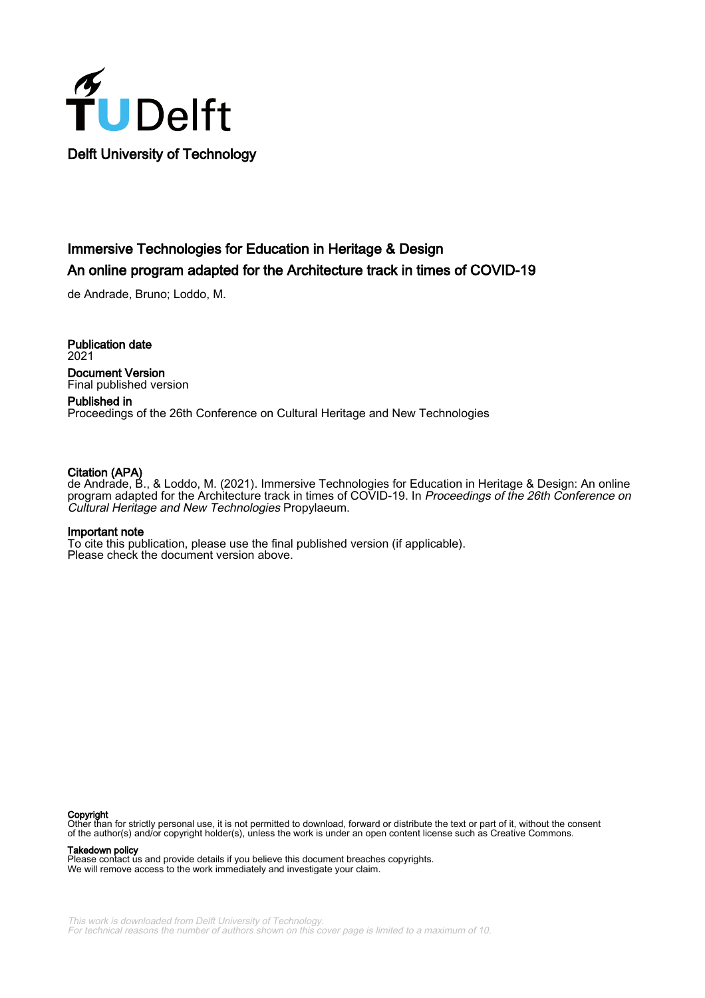

# Immersive Technologies for Education in Heritage & Design An online program adapted for the Architecture track in times of COVID-19

de Andrade, Bruno; Loddo, M.

Publication date 2021 Document Version Final published version

Published in Proceedings of the 26th Conference on Cultural Heritage and New Technologies

#### Citation (APA)

de Andrade, B., & Loddo, M. (2021). Immersive Technologies for Education in Heritage & Design: An online program adapted for the Architecture track in times of COVID-19. In Proceedings of the 26th Conference on Cultural Heritage and New Technologies Propylaeum.

#### Important note

To cite this publication, please use the final published version (if applicable). Please check the document version above.

#### Copyright

Other than for strictly personal use, it is not permitted to download, forward or distribute the text or part of it, without the consent of the author(s) and/or copyright holder(s), unless the work is under an open content license such as Creative Commons.

Takedown policy

Please contact us and provide details if you believe this document breaches copyrights. We will remove access to the work immediately and investigate your claim.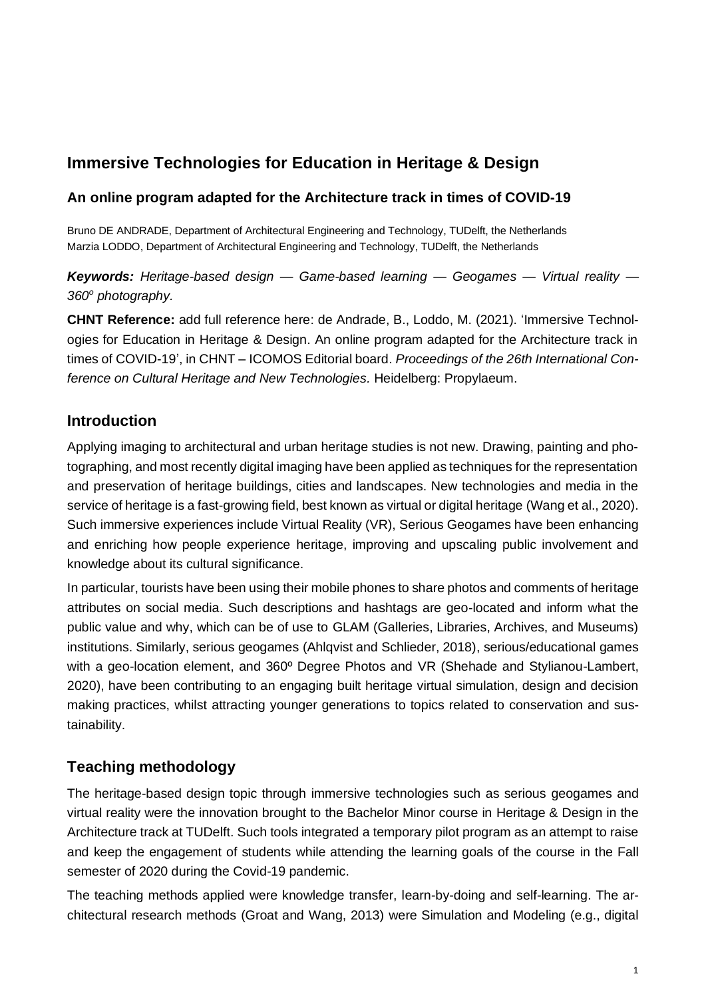# **Immersive Technologies for Education in Heritage & Design**

## **An online program adapted for the Architecture track in times of COVID-19**

Bruno DE ANDRADE, Department of Architectural Engineering and Technology, TUDelft, the Netherlands Marzia LODDO, Department of Architectural Engineering and Technology, TUDelft, the Netherlands

## *Keywords: Heritage-based design — Game-based learning — Geogames — Virtual reality — 360<sup>o</sup> photography.*

**CHNT Reference:** add full reference here: de Andrade, B., Loddo, M. (2021). 'Immersive Technologies for Education in Heritage & Design. An online program adapted for the Architecture track in times of COVID-19', in CHNT – ICOMOS Editorial board. *Proceedings of the 26th International Conference on Cultural Heritage and New Technologies.* Heidelberg: Propylaeum.

## **Introduction**

Applying imaging to architectural and urban heritage studies is not new. Drawing, painting and photographing, and most recently digital imaging have been applied as techniques for the representation and preservation of heritage buildings, cities and landscapes. New technologies and media in the service of heritage is a fast-growing field, best known as virtual or digital heritage (Wang et al., 2020). Such immersive experiences include Virtual Reality (VR), Serious Geogames have been enhancing and enriching how people experience heritage, improving and upscaling public involvement and knowledge about its cultural significance.

In particular, tourists have been using their mobile phones to share photos and comments of heritage attributes on social media. Such descriptions and hashtags are geo-located and inform what the public value and why, which can be of use to GLAM (Galleries, Libraries, Archives, and Museums) institutions. Similarly, serious geogames (Ahlqvist and Schlieder, 2018), serious/educational games with a geo-location element, and 360º Degree Photos and VR (Shehade and Stylianou-Lambert, 2020), have been contributing to an engaging built heritage virtual simulation, design and decision making practices, whilst attracting younger generations to topics related to conservation and sustainability.

# **Teaching methodology**

The heritage-based design topic through immersive technologies such as serious geogames and virtual reality were the innovation brought to the Bachelor Minor course in Heritage & Design in the Architecture track at TUDelft. Such tools integrated a temporary pilot program as an attempt to raise and keep the engagement of students while attending the learning goals of the course in the Fall semester of 2020 during the Covid-19 pandemic.

The teaching methods applied were knowledge transfer, learn-by-doing and self-learning. The architectural research methods (Groat and Wang, 2013) were Simulation and Modeling (e.g., digital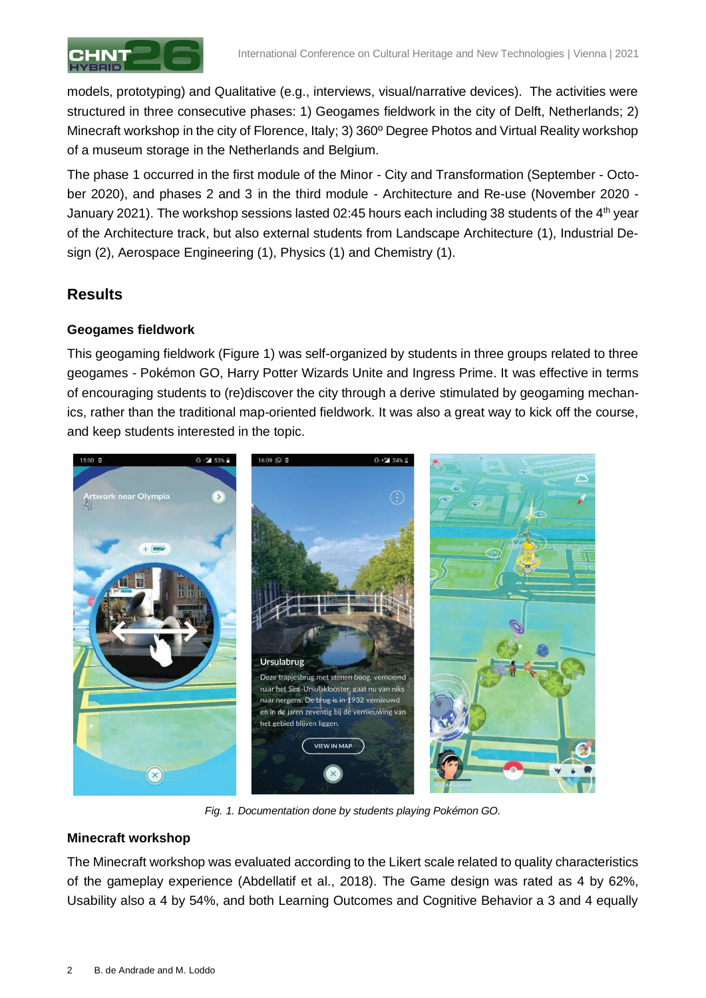

models, prototyping) and Qualitative (e.g., interviews, visual/narrative devices). The activities were structured in three consecutive phases: 1) Geogames fieldwork in the city of Delft, Netherlands; 2) Minecraft workshop in the city of Florence, Italy; 3) 360º Degree Photos and Virtual Reality workshop of a museum storage in the Netherlands and Belgium.

The phase 1 occurred in the first module of the Minor - City and Transformation (September - October 2020), and phases 2 and 3 in the third module - Architecture and Re-use (November 2020 - January 2021). The workshop sessions lasted 02:45 hours each including 38 students of the 4<sup>th</sup> year of the Architecture track, but also external students from Landscape Architecture (1), Industrial Design (2), Aerospace Engineering (1), Physics (1) and Chemistry (1).

## **Results**

#### **Geogames fieldwork**

This geogaming fieldwork (Figure 1) was self-organized by students in three groups related to three geogames - Pokémon GO, Harry Potter Wizards Unite and Ingress Prime. It was effective in terms of encouraging students to (re)discover the city through a derive stimulated by geogaming mechanics, rather than the traditional map-oriented fieldwork. It was also a great way to kick off the course, and keep students interested in the topic.



*Fig. 1. Documentation done by students playing Pokémon GO.*

#### **Minecraft workshop**

The Minecraft workshop was evaluated according to the Likert scale related to quality characteristics of the gameplay experience (Abdellatif et al., 2018). The Game design was rated as 4 by 62%, Usability also a 4 by 54%, and both Learning Outcomes and Cognitive Behavior a 3 and 4 equally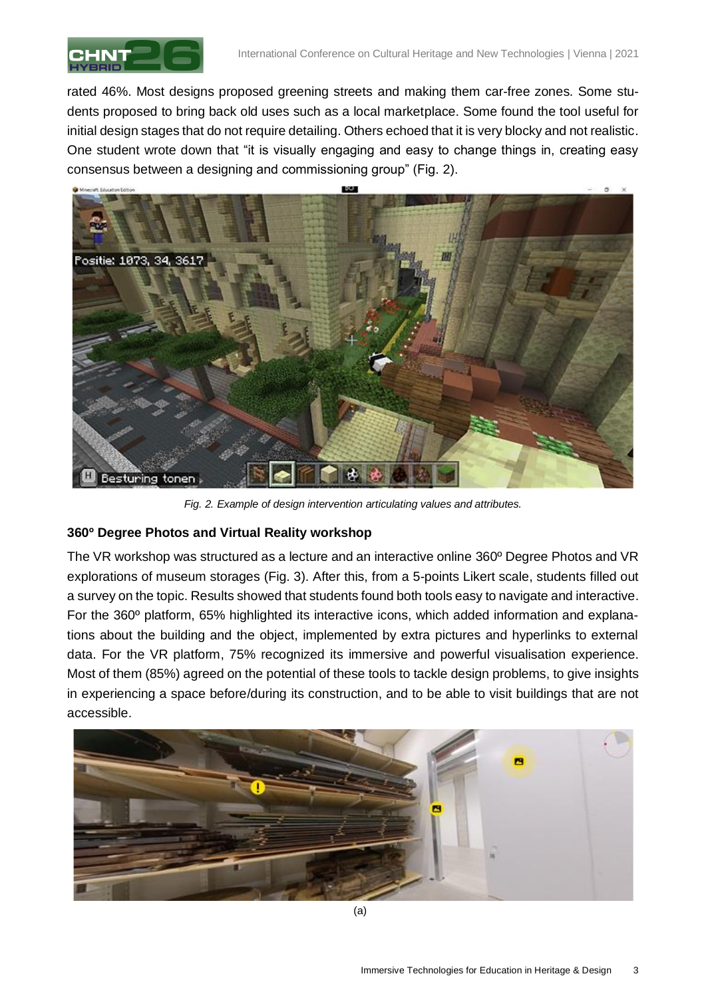

rated 46%. Most designs proposed greening streets and making them car-free zones. Some students proposed to bring back old uses such as a local marketplace. Some found the tool useful for initial design stages that do not require detailing. Others echoed that it is very blocky and not realistic. One student wrote down that "it is visually engaging and easy to change things in, creating easy consensus between a designing and commissioning group" (Fig. 2).



*Fig. 2. Example of design intervention articulating values and attributes.*

### **360º Degree Photos and Virtual Reality workshop**

The VR workshop was structured as a lecture and an interactive online 360º Degree Photos and VR explorations of museum storages (Fig. 3). After this, from a 5-points Likert scale, students filled out a survey on the topic. Results showed that students found both tools easy to navigate and interactive. For the 360º platform, 65% highlighted its interactive icons, which added information and explanations about the building and the object, implemented by extra pictures and hyperlinks to external data. For the VR platform, 75% recognized its immersive and powerful visualisation experience. Most of them (85%) agreed on the potential of these tools to tackle design problems, to give insights in experiencing a space before/during its construction, and to be able to visit buildings that are not accessible.

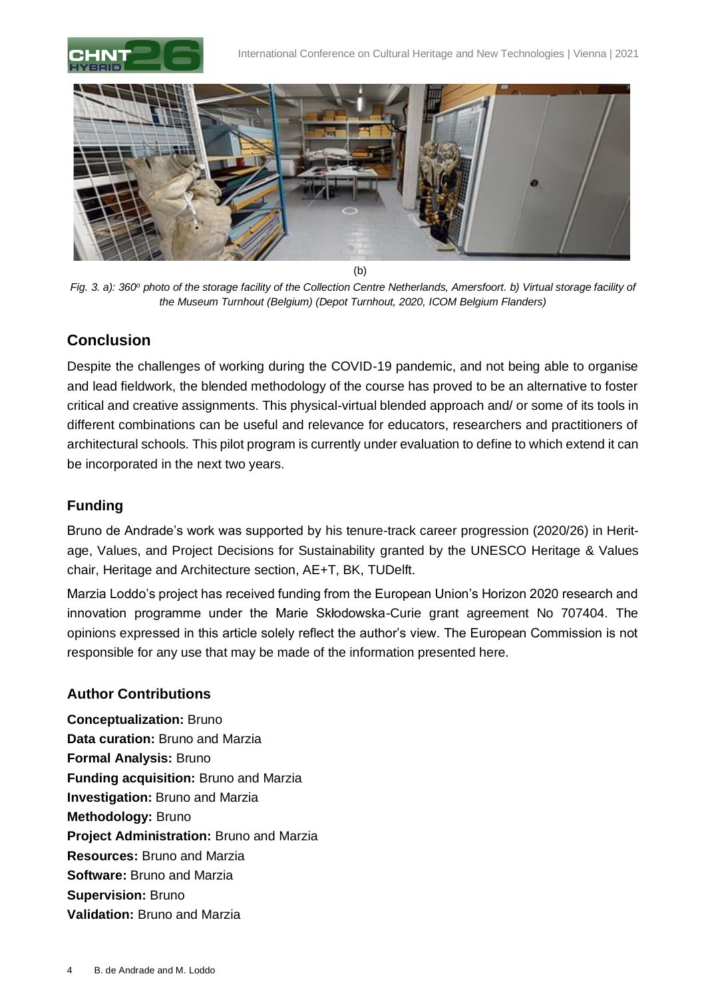



(b)

*Fig. 3. a): 360<sup>o</sup> photo of the storage facility of the Collection Centre Netherlands, Amersfoort. b) Virtual storage facility of the Museum Turnhout (Belgium) (Depot Turnhout, 2020, ICOM Belgium Flanders)*

## **Conclusion**

Despite the challenges of working during the COVID-19 pandemic, and not being able to organise and lead fieldwork, the blended methodology of the course has proved to be an alternative to foster critical and creative assignments. This physical-virtual blended approach and/ or some of its tools in different combinations can be useful and relevance for educators, researchers and practitioners of architectural schools. This pilot program is currently under evaluation to define to which extend it can be incorporated in the next two years.

## **Funding**

Bruno de Andrade's work was supported by his tenure-track career progression (2020/26) in Heritage, Values, and Project Decisions for Sustainability granted by the UNESCO Heritage & Values chair, Heritage and Architecture section, AE+T, BK, TUDelft.

Marzia Loddo's project has received funding from the European Union's Horizon 2020 research and innovation programme under the Marie Skłodowska-Curie grant agreement No 707404. The opinions expressed in this article solely reflect the author's view. The European Commission is not responsible for any use that may be made of the information presented here.

### **Author Contributions**

**Conceptualization:** Bruno **Data curation:** Bruno and Marzia **Formal Analysis:** Bruno **Funding acquisition:** Bruno and Marzia **Investigation:** Bruno and Marzia **Methodology:** Bruno **Project Administration:** Bruno and Marzia **Resources:** Bruno and Marzia **Software:** Bruno and Marzia **Supervision:** Bruno **Validation:** Bruno and Marzia